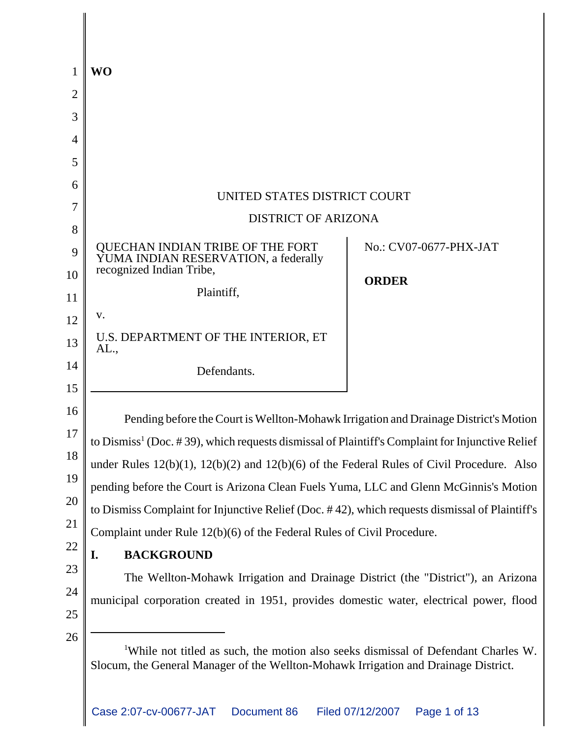|    | <b>WO</b>                                                                                                                                                                             |                        |  |
|----|---------------------------------------------------------------------------------------------------------------------------------------------------------------------------------------|------------------------|--|
| 2  |                                                                                                                                                                                       |                        |  |
| 3  |                                                                                                                                                                                       |                        |  |
|    |                                                                                                                                                                                       |                        |  |
| 5  |                                                                                                                                                                                       |                        |  |
| 6  |                                                                                                                                                                                       |                        |  |
|    | UNITED STATES DISTRICT COURT<br><b>DISTRICT OF ARIZONA</b>                                                                                                                            |                        |  |
| 8  |                                                                                                                                                                                       |                        |  |
| 9  | QUECHAN INDIAN TRIBE OF THE FORT<br>YUMA INDIAN RESERVATION, a federally                                                                                                              | No.: CV07-0677-PHX-JAT |  |
| 10 | recognized Indian Tribe,                                                                                                                                                              | <b>ORDER</b>           |  |
| 11 | Plaintiff,                                                                                                                                                                            |                        |  |
| 12 | V.                                                                                                                                                                                    |                        |  |
| 13 | U.S. DEPARTMENT OF THE INTERIOR, ET<br>AL.,                                                                                                                                           |                        |  |
| 14 | Defendants.                                                                                                                                                                           |                        |  |
| 15 |                                                                                                                                                                                       |                        |  |
| 16 | Pending before the Court is Wellton-Mohawk Irrigation and Drainage District's Motion                                                                                                  |                        |  |
| 17 | to $Dismiss1$ (Doc. #39), which requests dismissal of Plaintiff's Complaint for Injunctive Relief                                                                                     |                        |  |
| 18 | under Rules $12(b)(1)$ , $12(b)(2)$ and $12(b)(6)$ of the Federal Rules of Civil Procedure. Also                                                                                      |                        |  |
| 19 | pending before the Court is Arizona Clean Fuels Yuma, LLC and Glenn McGinnis's Motion                                                                                                 |                        |  |
| 20 | to Dismiss Complaint for Injunctive Relief (Doc. #42), which requests dismissal of Plaintiff's                                                                                        |                        |  |
| 21 | Complaint under Rule 12(b)(6) of the Federal Rules of Civil Procedure.                                                                                                                |                        |  |
| 22 | <b>BACKGROUND</b><br>I.                                                                                                                                                               |                        |  |
| 23 | The Wellton-Mohawk Irrigation and Drainage District (the "District"), an Arizona                                                                                                      |                        |  |
| 24 | municipal corporation created in 1951, provides domestic water, electrical power, flood                                                                                               |                        |  |
| 25 |                                                                                                                                                                                       |                        |  |
| 26 | <sup>1</sup> While not titled as such, the motion also seeks dismissal of Defendant Charles W.<br>Slocum, the General Manager of the Wellton-Mohawk Irrigation and Drainage District. |                        |  |

Case 2:07-cv-00677-JAT Document 86 Filed 07/12/2007 Page 1 of 13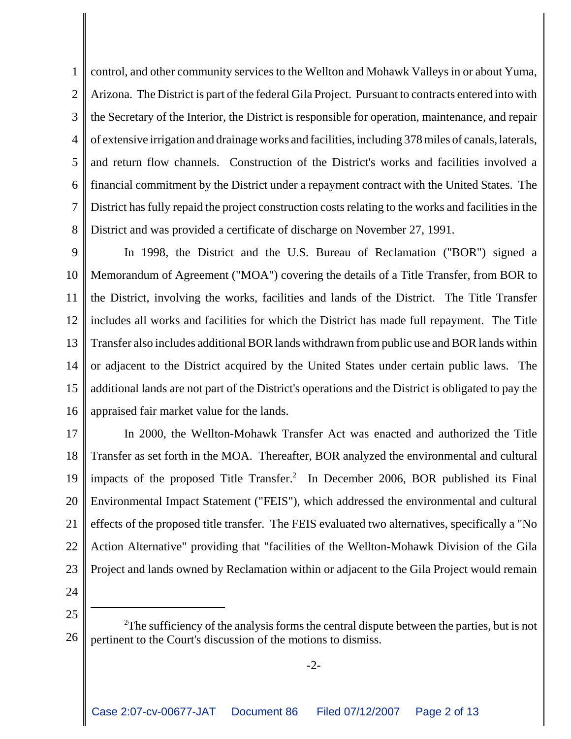1  $\mathcal{D}_{\mathcal{L}}$ 3 4 5 6 7 8 control, and other community services to the Wellton and Mohawk Valleys in or about Yuma, Arizona. The District is part of the federal Gila Project. Pursuant to contracts entered into with the Secretary of the Interior, the District is responsible for operation, maintenance, and repair of extensive irrigation and drainage works and facilities, including 378 miles of canals, laterals, and return flow channels. Construction of the District's works and facilities involved a financial commitment by the District under a repayment contract with the United States. The District has fully repaid the project construction costs relating to the works and facilities in the District and was provided a certificate of discharge on November 27, 1991.

9 10 11 12 13 14 15 16 In 1998, the District and the U.S. Bureau of Reclamation ("BOR") signed a Memorandum of Agreement ("MOA") covering the details of a Title Transfer, from BOR to the District, involving the works, facilities and lands of the District. The Title Transfer includes all works and facilities for which the District has made full repayment. The Title Transfer also includes additional BOR lands withdrawn from public use and BOR lands within or adjacent to the District acquired by the United States under certain public laws. The additional lands are not part of the District's operations and the District is obligated to pay the appraised fair market value for the lands.

17 18 19 20 21 22 23 In 2000, the Wellton-Mohawk Transfer Act was enacted and authorized the Title Transfer as set forth in the MOA. Thereafter, BOR analyzed the environmental and cultural impacts of the proposed Title Transfer.<sup>2</sup> In December 2006, BOR published its Final Environmental Impact Statement ("FEIS"), which addressed the environmental and cultural effects of the proposed title transfer. The FEIS evaluated two alternatives, specifically a "No Action Alternative" providing that "facilities of the Wellton-Mohawk Division of the Gila Project and lands owned by Reclamation within or adjacent to the Gila Project would remain

24

25

<sup>26</sup> <sup>2</sup>The sufficiency of the analysis forms the central dispute between the parties, but is not pertinent to the Court's discussion of the motions to dismiss.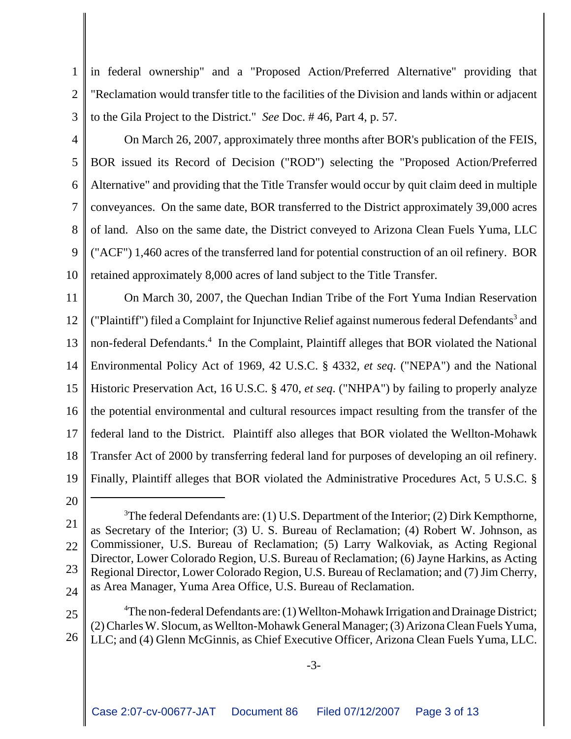1  $\overline{2}$ 3 in federal ownership" and a "Proposed Action/Preferred Alternative" providing that "Reclamation would transfer title to the facilities of the Division and lands within or adjacent to the Gila Project to the District." *See* Doc. # 46, Part 4, p. 57.

4

5 6 7 8 9 10 On March 26, 2007, approximately three months after BOR's publication of the FEIS, BOR issued its Record of Decision ("ROD") selecting the "Proposed Action/Preferred Alternative" and providing that the Title Transfer would occur by quit claim deed in multiple conveyances. On the same date, BOR transferred to the District approximately 39,000 acres of land. Also on the same date, the District conveyed to Arizona Clean Fuels Yuma, LLC ("ACF") 1,460 acres of the transferred land for potential construction of an oil refinery. BOR retained approximately 8,000 acres of land subject to the Title Transfer.

11 12 13 14 15 16 17 18 19 On March 30, 2007, the Quechan Indian Tribe of the Fort Yuma Indian Reservation ("Plaintiff") filed a Complaint for Injunctive Relief against numerous federal Defendants<sup>3</sup> and non-federal Defendants.<sup>4</sup> In the Complaint, Plaintiff alleges that BOR violated the National Environmental Policy Act of 1969, 42 U.S.C. § 4332, *et seq*. ("NEPA") and the National Historic Preservation Act, 16 U.S.C. § 470, *et seq*. ("NHPA") by failing to properly analyze the potential environmental and cultural resources impact resulting from the transfer of the federal land to the District. Plaintiff also alleges that BOR violated the Wellton-Mohawk Transfer Act of 2000 by transferring federal land for purposes of developing an oil refinery. Finally, Plaintiff alleges that BOR violated the Administrative Procedures Act, 5 U.S.C. §

20

<sup>21</sup> 22 23 24 <sup>3</sup>The federal Defendants are: (1) U.S. Department of the Interior; (2) Dirk Kempthorne, as Secretary of the Interior; (3) U. S. Bureau of Reclamation; (4) Robert W. Johnson, as Commissioner, U.S. Bureau of Reclamation; (5) Larry Walkoviak, as Acting Regional Director, Lower Colorado Region, U.S. Bureau of Reclamation; (6) Jayne Harkins, as Acting Regional Director, Lower Colorado Region, U.S. Bureau of Reclamation; and (7) Jim Cherry, as Area Manager, Yuma Area Office, U.S. Bureau of Reclamation.

<sup>25</sup> 26 <sup>4</sup>The non-federal Defendants are: (1) Wellton-Mohawk Irrigation and Drainage District; (2) Charles W. Slocum, as Wellton-Mohawk General Manager; (3) Arizona Clean Fuels Yuma, LLC; and (4) Glenn McGinnis, as Chief Executive Officer, Arizona Clean Fuels Yuma, LLC.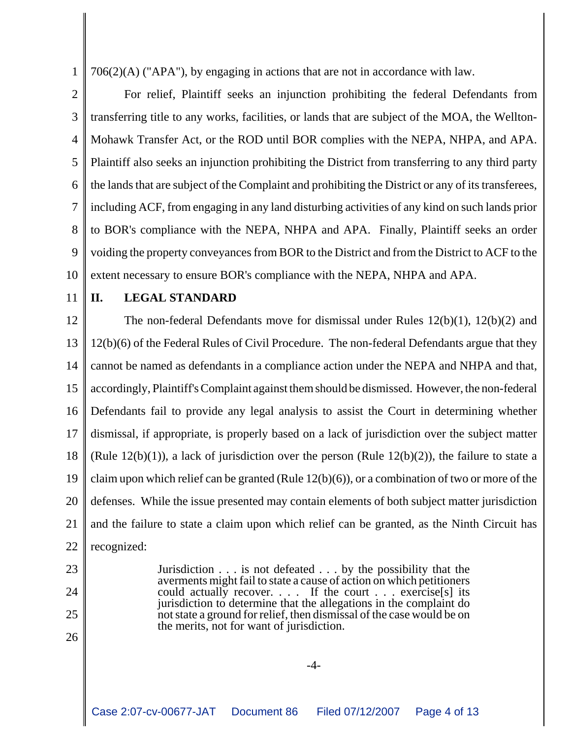706(2)(A) ("APA"), by engaging in actions that are not in accordance with law.

2 3 4 5 6 7 8 9 10 For relief, Plaintiff seeks an injunction prohibiting the federal Defendants from transferring title to any works, facilities, or lands that are subject of the MOA, the Wellton-Mohawk Transfer Act, or the ROD until BOR complies with the NEPA, NHPA, and APA. Plaintiff also seeks an injunction prohibiting the District from transferring to any third party the lands that are subject of the Complaint and prohibiting the District or any of its transferees, including ACF, from engaging in any land disturbing activities of any kind on such lands prior to BOR's compliance with the NEPA, NHPA and APA. Finally, Plaintiff seeks an order voiding the property conveyances from BOR to the District and from the District to ACF to the extent necessary to ensure BOR's compliance with the NEPA, NHPA and APA.

11

1

## **II. LEGAL STANDARD**

12 13 14 15 16 17 18 19 20 21 22 The non-federal Defendants move for dismissal under Rules 12(b)(1), 12(b)(2) and 12(b)(6) of the Federal Rules of Civil Procedure. The non-federal Defendants argue that they cannot be named as defendants in a compliance action under the NEPA and NHPA and that, accordingly, Plaintiff's Complaint against them should be dismissed. However, the non-federal Defendants fail to provide any legal analysis to assist the Court in determining whether dismissal, if appropriate, is properly based on a lack of jurisdiction over the subject matter (Rule  $12(b)(1)$ ), a lack of jurisdiction over the person (Rule  $12(b)(2)$ ), the failure to state a claim upon which relief can be granted (Rule 12(b)(6)), or a combination of two or more of the defenses. While the issue presented may contain elements of both subject matter jurisdiction and the failure to state a claim upon which relief can be granted, as the Ninth Circuit has recognized:

- 23
- 24
- 25
- 26

-4-

Jurisdiction . . . is not defeated . . . by the possibility that the averments might fail to state a cause of action on which petitioners could actually recover. . . . If the court . . . exercise[s] its jurisdiction to determine that the allegations in the complaint do not state a ground for relief, then dismissal of the case would be on

the merits, not for want of jurisdiction.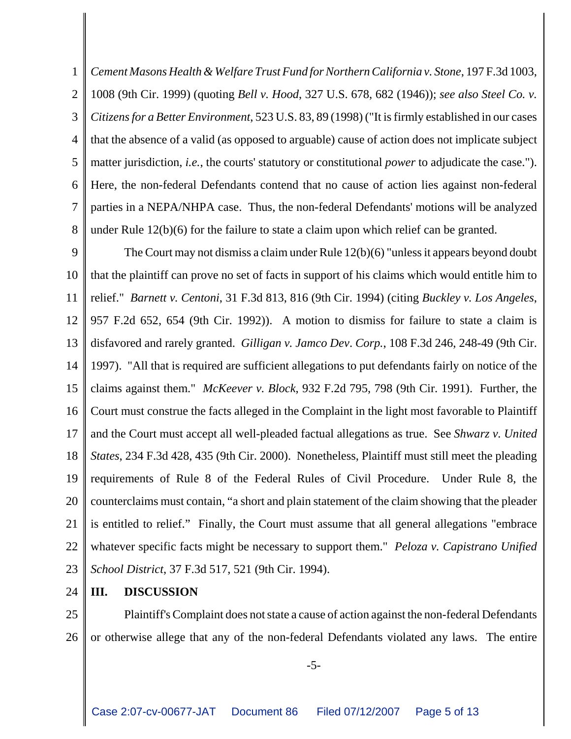1 2 3 4 5 6 7 8 *Cement Masons Health & Welfare Trust Fund for Northern California v. Stone*, 197 F.3d 1003, 1008 (9th Cir. 1999) (quoting *Bell v. Hood*, 327 U.S. 678, 682 (1946)); *see also Steel Co. v. Citizens for a Better Environment*, 523 U.S. 83, 89 (1998) ("It is firmly established in our cases that the absence of a valid (as opposed to arguable) cause of action does not implicate subject matter jurisdiction, *i.e.*, the courts' statutory or constitutional *power* to adjudicate the case."). Here, the non-federal Defendants contend that no cause of action lies against non-federal parties in a NEPA/NHPA case. Thus, the non-federal Defendants' motions will be analyzed under Rule 12(b)(6) for the failure to state a claim upon which relief can be granted.

9 10 11 12 13 14 15 16 17 18 19 20 21 22 23 The Court may not dismiss a claim under Rule 12(b)(6) "unless it appears beyond doubt that the plaintiff can prove no set of facts in support of his claims which would entitle him to relief." *Barnett v. Centoni*, 31 F.3d 813, 816 (9th Cir. 1994) (citing *Buckley v. Los Angeles*, 957 F.2d 652, 654 (9th Cir. 1992)). A motion to dismiss for failure to state a claim is disfavored and rarely granted. *Gilligan v. Jamco Dev*. *Corp.*, 108 F.3d 246, 248-49 (9th Cir. 1997). "All that is required are sufficient allegations to put defendants fairly on notice of the claims against them." *McKeever v. Block*, 932 F.2d 795, 798 (9th Cir. 1991). Further, the Court must construe the facts alleged in the Complaint in the light most favorable to Plaintiff and the Court must accept all well-pleaded factual allegations as true. See *Shwarz v. United States*, 234 F.3d 428, 435 (9th Cir. 2000). Nonetheless, Plaintiff must still meet the pleading requirements of Rule 8 of the Federal Rules of Civil Procedure. Under Rule 8, the counterclaims must contain, "a short and plain statement of the claim showing that the pleader is entitled to relief." Finally, the Court must assume that all general allegations "embrace whatever specific facts might be necessary to support them." *Peloza v. Capistrano Unified School District*, 37 F.3d 517, 521 (9th Cir. 1994).

24 **III. DISCUSSION**

25 26 Plaintiff's Complaint does not state a cause of action against the non-federal Defendants or otherwise allege that any of the non-federal Defendants violated any laws. The entire

-5-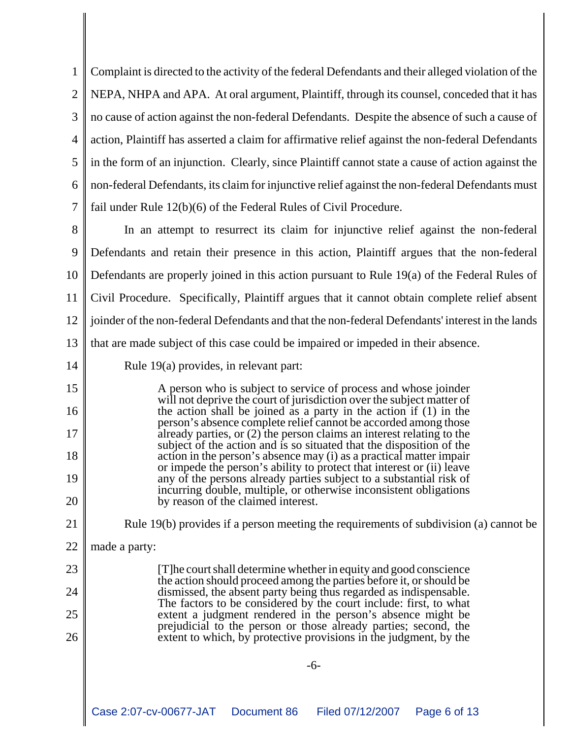1  $\mathcal{D}_{\mathcal{L}}$ 3 4 5 6 7 Complaint is directed to the activity of the federal Defendants and their alleged violation of the NEPA, NHPA and APA. At oral argument, Plaintiff, through its counsel, conceded that it has no cause of action against the non-federal Defendants. Despite the absence of such a cause of action, Plaintiff has asserted a claim for affirmative relief against the non-federal Defendants in the form of an injunction. Clearly, since Plaintiff cannot state a cause of action against the non-federal Defendants, its claim for injunctive relief against the non-federal Defendants must fail under Rule 12(b)(6) of the Federal Rules of Civil Procedure.

8 9 10 11 12 13 In an attempt to resurrect its claim for injunctive relief against the non-federal Defendants and retain their presence in this action, Plaintiff argues that the non-federal Defendants are properly joined in this action pursuant to Rule 19(a) of the Federal Rules of Civil Procedure. Specifically, Plaintiff argues that it cannot obtain complete relief absent joinder of the non-federal Defendants and that the non-federal Defendants' interest in the lands that are made subject of this case could be impaired or impeded in their absence.

14

15

16

17

18

19

20

23

24

25

26

Rule 19(a) provides, in relevant part:

A person who is subject to service of process and whose joinder will not deprive the court of jurisdiction over the subject matter of the action shall be joined as a party in the action if (1) in the person's absence complete relief cannot be accorded among those already parties, or (2) the person claims an interest relating to the subject of the action and is so situated that the disposition of the action in the person's absence may (i) as a practical matter impair or impede the person's ability to protect that interest or (ii) leave any of the persons already parties subject to a substantial risk of incurring double, multiple, or otherwise inconsistent obligations by reason of the claimed interest.

21

Rule 19(b) provides if a person meeting the requirements of subdivision (a) cannot be

22 made a party:

> [T]he court shall determine whether in equity and good conscience the action should proceed among the parties before it, or should be dismissed, the absent party being thus regarded as indispensable. The factors to be considered by the court include: first, to what extent a judgment rendered in the person's absence might be prejudicial to the person or those already parties; second, the extent to which, by protective provisions in the judgment, by the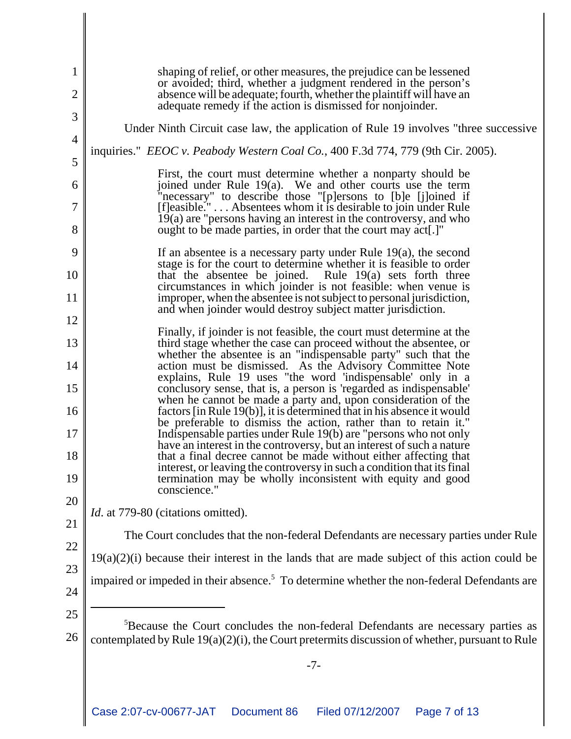| 1<br>$\overline{2}$ | shaping of relief, or other measures, the prejudice can be lessened<br>or avoided; third, whether a judgment rendered in the person's<br>absence will be adequate; fourth, whether the plaintiff will have an |
|---------------------|---------------------------------------------------------------------------------------------------------------------------------------------------------------------------------------------------------------|
| 3                   | adequate remedy if the action is dismissed for nonjoinder.                                                                                                                                                    |
| $\overline{4}$      | Under Ninth Circuit case law, the application of Rule 19 involves "three successive                                                                                                                           |
| 5                   | inquiries." <i>EEOC v. Peabody Western Coal Co.</i> , 400 F.3d 774, 779 (9th Cir. 2005).                                                                                                                      |
|                     | First, the court must determine whether a nonparty should be                                                                                                                                                  |
| 6                   | joined under Rule 19(a). We and other courts use the term<br>"necessary" to describe those "[p]ersons to [b]e [j]oined if $[f]$ easible." Absentees whom it is desirable to join under Rule                   |
| 7                   | 19(a) are "persons having an interest in the controversy, and who                                                                                                                                             |
| 8                   | ought to be made parties, in order that the court may act.]"                                                                                                                                                  |
| 9                   | If an absentee is a necessary party under Rule $19(a)$ , the second<br>stage is for the court to determine whether it is feasible to order                                                                    |
| 10                  | that the absentee be joined. Rule 19(a) sets forth three<br>circumstances in which joinder is not feasible: when venue is                                                                                     |
| 11                  | improper, when the absentee is not subject to personal jurisdiction,<br>and when joinder would destroy subject matter jurisdiction.                                                                           |
| 12                  | Finally, if joinder is not feasible, the court must determine at the                                                                                                                                          |
| 13                  | third stage whether the case can proceed without the absentee, or<br>whether the absentee is an "indispensable party" such that the                                                                           |
| 14                  | action must be dismissed. As the Advisory Committee Note<br>explains, Rule 19 uses "the word 'indispensable' only in a                                                                                        |
| 15                  | conclusory sense, that is, a person is 'regarded as indispensable'<br>when he cannot be made a party and, upon consideration of the                                                                           |
| 16                  | factors [in Rule 19(b)], it is determined that in his absence it would<br>be preferable to dismiss the action, rather than to retain it."                                                                     |
| 17                  | Indispensable parties under Rule 19(b) are "persons who not only<br>have an interest in the controversy, but an interest of such a nature                                                                     |
| 18                  | that a final decree cannot be made without either affecting that<br>interest, or leaving the controversy in such a condition that its final                                                                   |
| 19                  | termination may be wholly inconsistent with equity and good<br>conscience."                                                                                                                                   |
| 20                  | <i>Id.</i> at 779-80 (citations omitted).                                                                                                                                                                     |
| 21                  | The Court concludes that the non-federal Defendants are necessary parties under Rule                                                                                                                          |
| 22                  | $19(a)(2)(i)$ because their interest in the lands that are made subject of this action could be                                                                                                               |
| 23                  | impaired or impeded in their absence. <sup>5</sup> To determine whether the non-federal Defendants are                                                                                                        |
| 24                  |                                                                                                                                                                                                               |
| 25                  | <sup>5</sup> Because the Court concludes the non-federal Defendants are necessary parties as                                                                                                                  |
| 26                  | contemplated by Rule $19(a)(2)(i)$ , the Court pretermits discussion of whether, pursuant to Rule                                                                                                             |
|                     | $-7-$                                                                                                                                                                                                         |
|                     |                                                                                                                                                                                                               |
|                     | Case 2:07-cv-00677-JAT<br>Document 86<br>Page 7 of 13<br>Filed 07/12/2007                                                                                                                                     |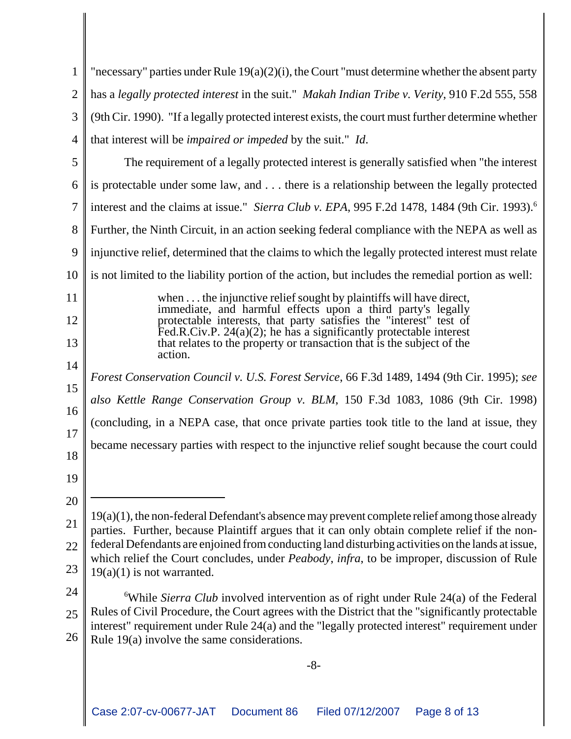| 1              | "necessary" parties under Rule $19(a)(2)(i)$ , the Court "must determine whether the absent party                                                                                               |  |
|----------------|-------------------------------------------------------------------------------------------------------------------------------------------------------------------------------------------------|--|
| $\overline{2}$ | has a legally protected interest in the suit." Makah Indian Tribe v. Verity, 910 F.2d 555, 558                                                                                                  |  |
| 3              | (9th Cir. 1990). "If a legally protected interest exists, the court must further determine whether                                                                                              |  |
| 4              | that interest will be <i>impaired or impeded</i> by the suit." <i>Id.</i>                                                                                                                       |  |
| 5              | The requirement of a legally protected interest is generally satisfied when "the interest"                                                                                                      |  |
| 6              | is protectable under some law, and there is a relationship between the legally protected                                                                                                        |  |
| 7              | interest and the claims at issue." Sierra Club v. EPA, 995 F.2d 1478, 1484 (9th Cir. 1993). <sup>6</sup>                                                                                        |  |
| 8              | Further, the Ninth Circuit, in an action seeking federal compliance with the NEPA as well as                                                                                                    |  |
| 9              | injunctive relief, determined that the claims to which the legally protected interest must relate                                                                                               |  |
| 10             | is not limited to the liability portion of the action, but includes the remedial portion as well:                                                                                               |  |
| 11             | when the injunctive relief sought by plaintiffs will have direct,                                                                                                                               |  |
| 12             | immediate, and harmful effects upon a third party's legally<br>protectable interests, that party satisfies the "interest" test of                                                               |  |
| 13             | Fed.R.Civ.P. $24(a)(2)$ ; he has a significantly protectable interest<br>that relates to the property or transaction that is the subject of the                                                 |  |
| 14             | action.                                                                                                                                                                                         |  |
| 15             | Forest Conservation Council v. U.S. Forest Service, 66 F.3d 1489, 1494 (9th Cir. 1995); see                                                                                                     |  |
| 16             | also Kettle Range Conservation Group v. BLM, 150 F.3d 1083, 1086 (9th Cir. 1998)                                                                                                                |  |
| 17             | (concluding, in a NEPA case, that once private parties took title to the land at issue, they                                                                                                    |  |
| 18             | became necessary parties with respect to the injunctive relief sought because the court could                                                                                                   |  |
| 19             |                                                                                                                                                                                                 |  |
| 20             |                                                                                                                                                                                                 |  |
| 21             | 19(a)(1), the non-federal Defendant's absence may prevent complete relief among those already<br>parties. Further, because Plaintiff argues that it can only obtain complete relief if the non- |  |
| 22             | federal Defendants are enjoined from conducting land disturbing activities on the lands at issue,                                                                                               |  |
| 23             | which relief the Court concludes, under <i>Peabody</i> , <i>infra</i> , to be improper, discussion of Rule<br>$19(a)(1)$ is not warranted.                                                      |  |
| 24             | <sup>6</sup> While Sierra Club involved intervention as of right under Rule $24(a)$ of the Federal                                                                                              |  |
| 25             | Rules of Civil Procedure, the Court agrees with the District that the "significantly protectable"                                                                                               |  |
| 26             | interest" requirement under Rule 24(a) and the "legally protected interest" requirement under<br>Rule $19(a)$ involve the same considerations.                                                  |  |
|                |                                                                                                                                                                                                 |  |
|                | $-8-$                                                                                                                                                                                           |  |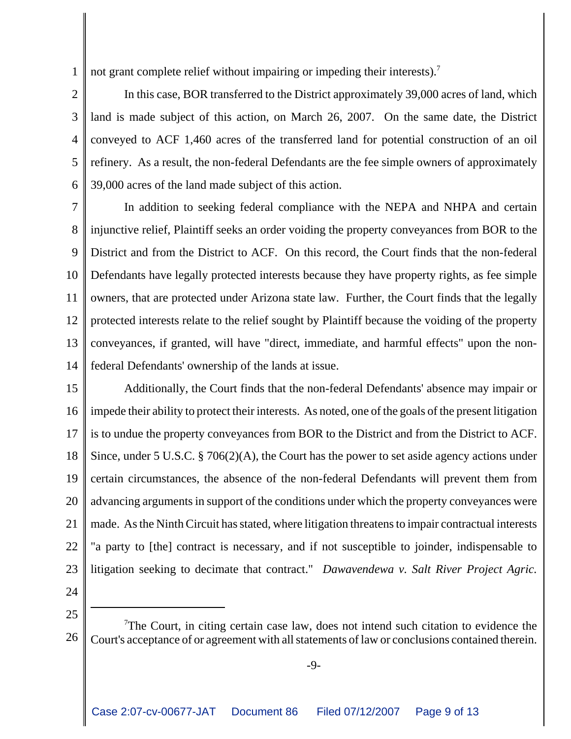1 not grant complete relief without impairing or impeding their interests).<sup>7</sup>

 $\mathcal{D}_{\mathcal{L}}$ 3 4 5 6 In this case, BOR transferred to the District approximately 39,000 acres of land, which land is made subject of this action, on March 26, 2007. On the same date, the District conveyed to ACF 1,460 acres of the transferred land for potential construction of an oil refinery. As a result, the non-federal Defendants are the fee simple owners of approximately 39,000 acres of the land made subject of this action.

7 8 9 10 11 12 13 14 In addition to seeking federal compliance with the NEPA and NHPA and certain injunctive relief, Plaintiff seeks an order voiding the property conveyances from BOR to the District and from the District to ACF. On this record, the Court finds that the non-federal Defendants have legally protected interests because they have property rights, as fee simple owners, that are protected under Arizona state law. Further, the Court finds that the legally protected interests relate to the relief sought by Plaintiff because the voiding of the property conveyances, if granted, will have "direct, immediate, and harmful effects" upon the nonfederal Defendants' ownership of the lands at issue.

15 16 17 18 19 20 21 22 23 Additionally, the Court finds that the non-federal Defendants' absence may impair or impede their ability to protect their interests. As noted, one of the goals of the present litigation is to undue the property conveyances from BOR to the District and from the District to ACF. Since, under 5 U.S.C. § 706(2)(A), the Court has the power to set aside agency actions under certain circumstances, the absence of the non-federal Defendants will prevent them from advancing arguments in support of the conditions under which the property conveyances were made. As the Ninth Circuit has stated, where litigation threatens to impair contractual interests "a party to [the] contract is necessary, and if not susceptible to joinder, indispensable to litigation seeking to decimate that contract." *Dawavendewa v. Salt River Project Agric.*

24

25

26  $7$ The Court, in citing certain case law, does not intend such citation to evidence the Court's acceptance of or agreement with all statements of law or conclusions contained therein.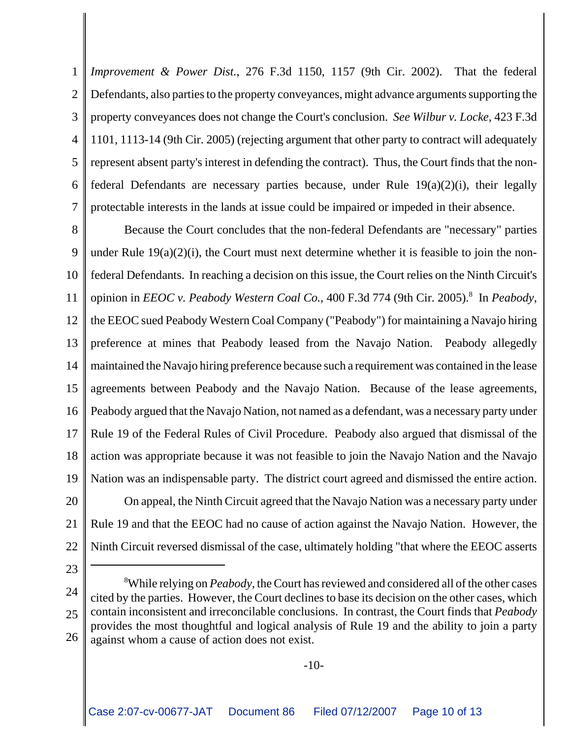1  $\mathcal{D}_{\mathcal{L}}$ 3 4 5 6 7 *Improvement & Power Dist.*, 276 F.3d 1150, 1157 (9th Cir. 2002). That the federal Defendants, also parties to the property conveyances, might advance arguments supporting the property conveyances does not change the Court's conclusion. *See Wilbur v. Locke*, 423 F.3d 1101, 1113-14 (9th Cir. 2005) (rejecting argument that other party to contract will adequately represent absent party's interest in defending the contract). Thus, the Court finds that the nonfederal Defendants are necessary parties because, under Rule 19(a)(2)(i), their legally protectable interests in the lands at issue could be impaired or impeded in their absence.

8 9 10 11 12 13 14 15 16 17 18 19 20 21 22 Because the Court concludes that the non-federal Defendants are "necessary" parties under Rule  $19(a)(2)(i)$ , the Court must next determine whether it is feasible to join the nonfederal Defendants. In reaching a decision on this issue, the Court relies on the Ninth Circuit's opinion in *EEOC v. Peabody Western Coal Co.*, 400 F.3d 774 (9th Cir. 2005).<sup>8</sup> In *Peabody*, the EEOC sued Peabody Western Coal Company ("Peabody") for maintaining a Navajo hiring preference at mines that Peabody leased from the Navajo Nation. Peabody allegedly maintained the Navajo hiring preference because such a requirement was contained in the lease agreements between Peabody and the Navajo Nation. Because of the lease agreements, Peabody argued that the Navajo Nation, not named as a defendant, was a necessary party under Rule 19 of the Federal Rules of Civil Procedure. Peabody also argued that dismissal of the action was appropriate because it was not feasible to join the Navajo Nation and the Navajo Nation was an indispensable party. The district court agreed and dismissed the entire action. On appeal, the Ninth Circuit agreed that the Navajo Nation was a necessary party under Rule 19 and that the EEOC had no cause of action against the Navajo Nation. However, the Ninth Circuit reversed dismissal of the case, ultimately holding "that where the EEOC asserts

23

<sup>24</sup> 25 26 8 While relying on *Peabody*, the Court has reviewed and considered all of the other cases cited by the parties. However, the Court declines to base its decision on the other cases, which contain inconsistent and irreconcilable conclusions. In contrast, the Court finds that *Peabody* provides the most thoughtful and logical analysis of Rule 19 and the ability to join a party against whom a cause of action does not exist.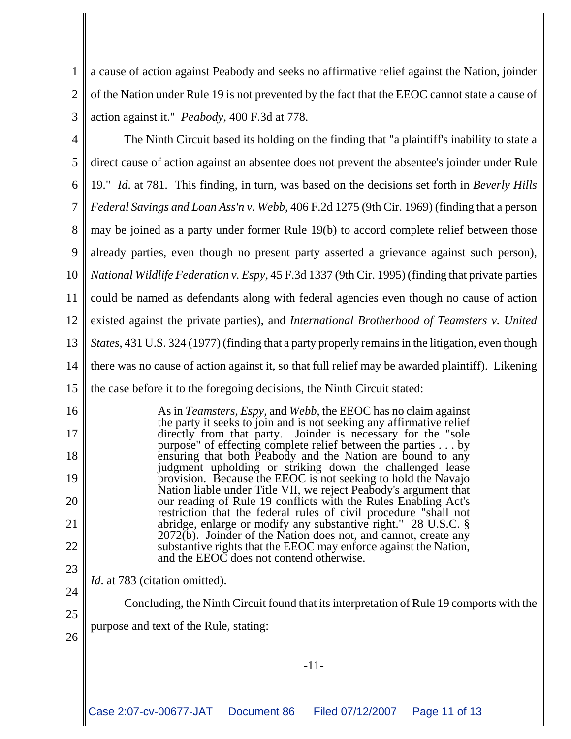1  $\mathcal{D}_{\mathcal{L}}$ 3 a cause of action against Peabody and seeks no affirmative relief against the Nation, joinder of the Nation under Rule 19 is not prevented by the fact that the EEOC cannot state a cause of action against it." *Peabody*, 400 F.3d at 778.

4 5 6 7 8 9 10 11 12 13 14 15 The Ninth Circuit based its holding on the finding that "a plaintiff's inability to state a direct cause of action against an absentee does not prevent the absentee's joinder under Rule 19." *Id*. at 781. This finding, in turn, was based on the decisions set forth in *Beverly Hills Federal Savings and Loan Ass'n v. Webb*, 406 F.2d 1275 (9th Cir. 1969) (finding that a person may be joined as a party under former Rule 19(b) to accord complete relief between those already parties, even though no present party asserted a grievance against such person), *National Wildlife Federation v. Espy*, 45 F.3d 1337 (9th Cir. 1995) (finding that private parties could be named as defendants along with federal agencies even though no cause of action existed against the private parties), and *International Brotherhood of Teamsters v. United States*, 431 U.S. 324 (1977) (finding that a party properly remains in the litigation, even though there was no cause of action against it, so that full relief may be awarded plaintiff). Likening the case before it to the foregoing decisions, the Ninth Circuit stated:

16 17 18 19 20 21 22 23 As in *Teamsters*, *Espy*, and *Webb*, the EEOC has no claim against the party it seeks to join and is not seeking any affirmative relief directly from that party. Joinder is necessary for the "sole purpose" of effecting complete relief between the parties . . . by ensuring that both Peabody and the Nation are bound to any judgment upholding or striking down the challenged lease provision. Because the EEOC is not seeking to hold the Navajo Nation liable under Title VII, we reject Peabody's argument that our reading of Rule 19 conflicts with the Rules Enabling Act's restriction that the federal rules of civil procedure "shall not abridge, enlarge or modify any substantive right." 28 U.S.C. § 2072(b). Joinder of the Nation does not, and cannot, create any substantive rights that the EEOC may enforce against the Nation, and the EEOC does not contend otherwise.

24 *Id.* at 783 (citation omitted).

25

Concluding, the Ninth Circuit found that its interpretation of Rule 19 comports with the

- 26 purpose and text of the Rule, stating:
- -11-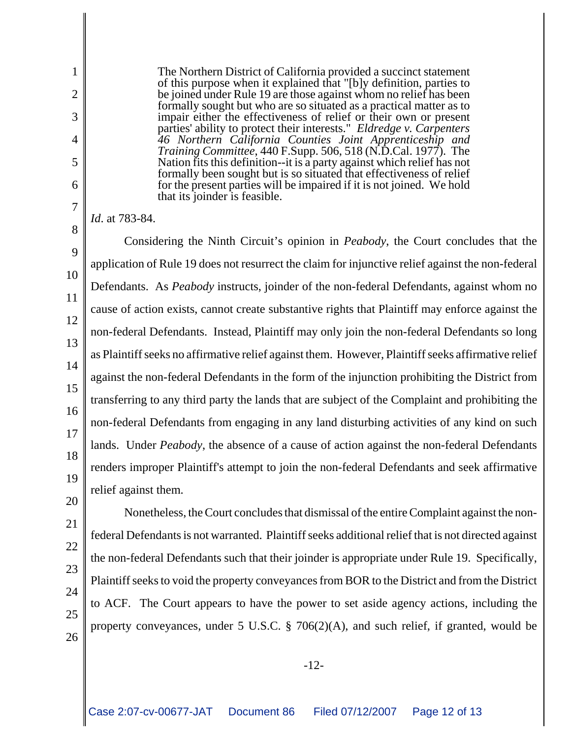The Northern District of California provided a succinct statement of this purpose when it explained that "[b]y definition, parties to be joined under Rule 19 are those against whom no relief has been formally sought but who are so situated as a practical matter as to impair either the effectiveness of relief or their own or present parties' ability to protect their interests." *Eldredge v. Carpenters 46 Northern California Counties Joint Apprenticeship and Training Committee*, 440 F.Supp. 506, 518 (N.D.Cal. 1977). The Nation fits this definition--it is a party against which relief has not formally been sought but is so situated that effectiveness of relief for the present parties will be impaired if it is not joined. We hold that its joinder is feasible.

*Id*. at 783-84.

1

2

3

4

5

6

7

8

20

21

22

23

24

25

26

9 10 11 12 13 14 15 16 17 18 19 Considering the Ninth Circuit's opinion in *Peabody*, the Court concludes that the application of Rule 19 does not resurrect the claim for injunctive relief against the non-federal Defendants. As *Peabody* instructs, joinder of the non-federal Defendants, against whom no cause of action exists, cannot create substantive rights that Plaintiff may enforce against the non-federal Defendants. Instead, Plaintiff may only join the non-federal Defendants so long as Plaintiff seeks no affirmative relief against them. However, Plaintiff seeks affirmative relief against the non-federal Defendants in the form of the injunction prohibiting the District from transferring to any third party the lands that are subject of the Complaint and prohibiting the non-federal Defendants from engaging in any land disturbing activities of any kind on such lands. Under *Peabody*, the absence of a cause of action against the non-federal Defendants renders improper Plaintiff's attempt to join the non-federal Defendants and seek affirmative relief against them.

Nonetheless, the Court concludes that dismissal of the entire Complaint against the nonfederal Defendants is not warranted. Plaintiff seeks additional relief that is not directed against the non-federal Defendants such that their joinder is appropriate under Rule 19. Specifically, Plaintiff seeks to void the property conveyances from BOR to the District and from the District to ACF. The Court appears to have the power to set aside agency actions, including the property conveyances, under 5 U.S.C. § 706(2)(A), and such relief, if granted, would be

-12-